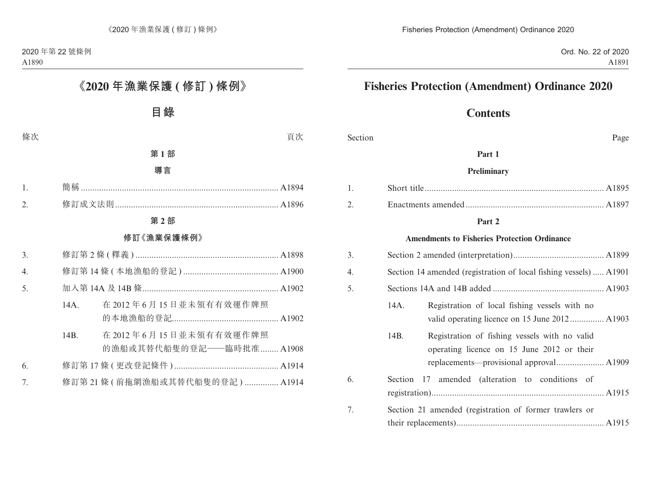# **Contents**

Section Page

#### **Part 1**

#### **Preliminary**

#### **Part 2**

#### **Amendments to Fisheries Protection Ordinance**

| 3. |                                                                                                                                                |  |
|----|------------------------------------------------------------------------------------------------------------------------------------------------|--|
| 4. | Section 14 amended (registration of local fishing vessels)  A1901                                                                              |  |
| 5. |                                                                                                                                                |  |
|    | Registration of local fishing vessels with no<br>14A.                                                                                          |  |
|    | 14B.<br>Registration of fishing vessels with no valid<br>operating licence on 15 June 2012 or their<br>replacements—provisional approval A1909 |  |
| 6. | Section 17 amended (alteration to conditions of                                                                                                |  |
| 7. | Section 21 amended (registration of former trawlers or                                                                                         |  |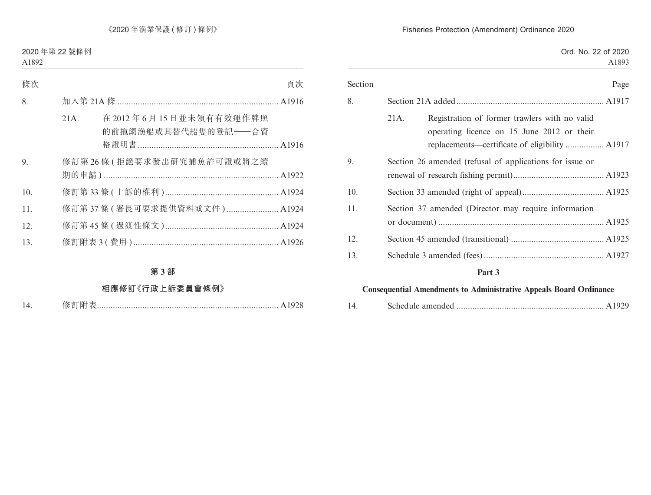|                                                          | Ord. No. 22 of 2020<br>A1893                                                                                                                  |
|----------------------------------------------------------|-----------------------------------------------------------------------------------------------------------------------------------------------|
|                                                          |                                                                                                                                               |
| Section                                                  | Page                                                                                                                                          |
|                                                          |                                                                                                                                               |
| 21A.                                                     | Registration of former trawlers with no valid<br>operating licence on 15 June 2012 or their<br>replacements—certificate of eligibility  A1917 |
| Section 26 amended (refusal of applications for issue or |                                                                                                                                               |
|                                                          |                                                                                                                                               |
| Section 37 amended (Director may require information     |                                                                                                                                               |
|                                                          |                                                                                                                                               |
|                                                          |                                                                                                                                               |
| Part 3                                                   |                                                                                                                                               |

## **Consequential Amendments to Administrative Appeals Board Ordinance**

| 14 |  |  |  |
|----|--|--|--|
|----|--|--|--|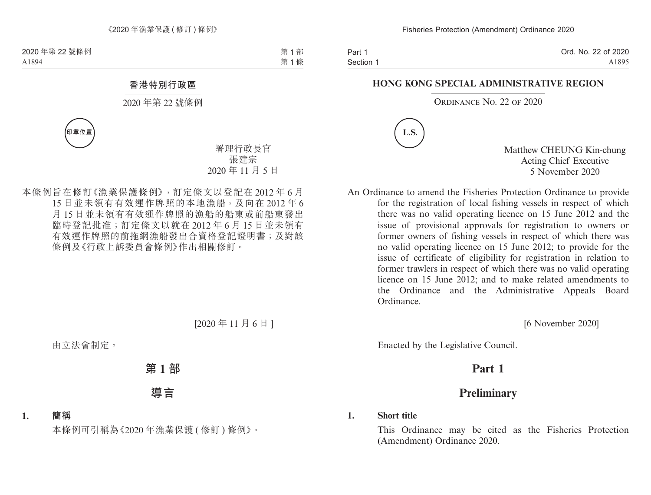Part 1 Section 1 Ord. No. 22 of 2020 A1895

#### **HONG KONG SPECIAL ADMINISTRATIVE REGION**

ORDINANCE NO. 22 OF 2020



Matthew CHEUNG Kin-chung Acting Chief Executive 5 November 2020

An Ordinance to amend the Fisheries Protection Ordinance to provide for the registration of local fishing vessels in respect of which there was no valid operating licence on 15 June 2012 and the issue of provisional approvals for registration to owners or former owners of fishing vessels in respect of which there was no valid operating licence on 15 June 2012; to provide for the issue of certificate of eligibility for registration in relation to former trawlers in respect of which there was no valid operating licence on 15 June 2012; and to make related amendments to the Ordinance and the Administrative Appeals Board Ordinance.

[6 November 2020]

Enacted by the Legislative Council.

# **Part 1**

# **Preliminary**

## **1. Short title**

This Ordinance may be cited as the Fisheries Protection (Amendment) Ordinance 2020.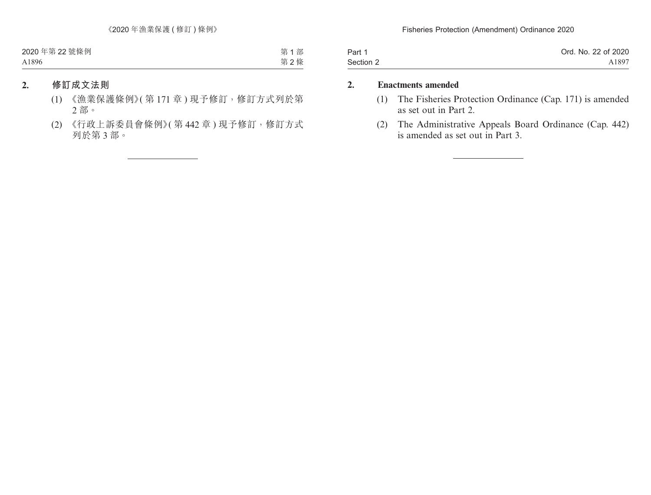| Part 1    | Ord. No. 22 of 2020 |
|-----------|---------------------|
| Section 2 | A1897               |

## **2. Enactments amended**

- (1) The Fisheries Protection Ordinance (Cap. 171) is amended as set out in Part 2.
- (2) The Administrative Appeals Board Ordinance (Cap. 442) is amended as set out in Part 3.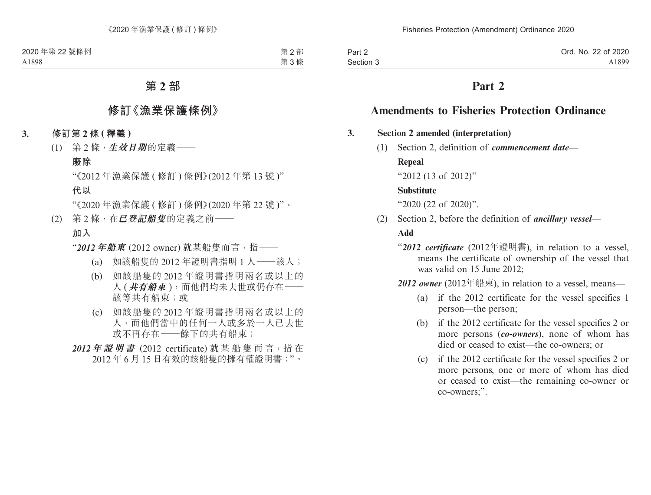| Part 2    | Ord. No. 22 of 2020 |
|-----------|---------------------|
| Section 3 | A1899               |

# **Part 2**

# **Amendments to Fisheries Protection Ordinance**

### **3. Section 2 amended (interpretation)**

(1) Section 2, definition of *commencement date*—

### **Repeal**

"2012 (13 of 2012)"

### **Substitute**

"2020 (22 of 2020)".

(2) Section 2, before the definition of *ancillary vessel*—

## **Add**

- "*2012 certificate* (2012年證明書), in relation to a vessel, means the certificate of ownership of the vessel that was valid on 15 June 2012;
- *2012 owner* (2012年船東), in relation to a vessel, means—
	- (a) if the 2012 certificate for the vessel specifies 1 person—the person;
	- (b) if the 2012 certificate for the vessel specifies 2 or more persons (*co-owners*), none of whom has died or ceased to exist—the co-owners; or
	- (c) if the 2012 certificate for the vessel specifies 2 or more persons, one or more of whom has died or ceased to exist—the remaining co-owner or co-owners;".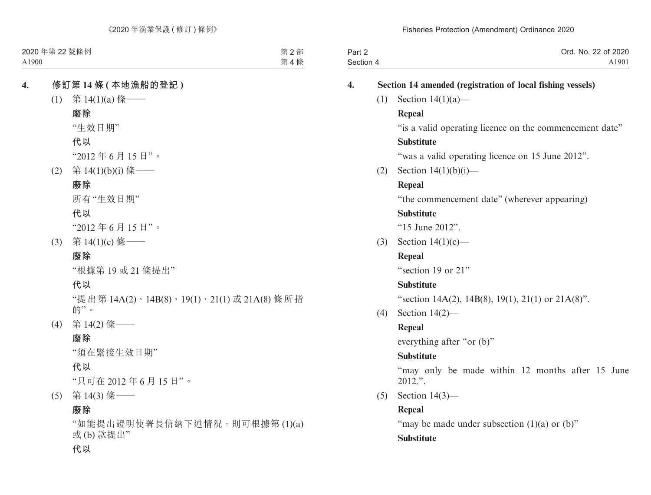| Part 2    | Ord. No. 22 of 2020 |
|-----------|---------------------|
| Section 4 | A1901               |

# **4. Section 14 amended (registration of local fishing vessels)** (1) Section 14(1)(a)— **Repeal** "is a valid operating licence on the commencement date" **Substitute** "was a valid operating licence on 15 June 2012". (2) Section  $14(1)(b)(i)$ — **Repeal** "the commencement date" (wherever appearing) **Substitute** "15 June 2012". (3) Section 14(1)(c)— **Repeal** "section 19 or 21" **Substitute** "section 14A(2), 14B(8), 19(1), 21(1) or 21A(8)". (4) Section 14(2)— **Repeal** everything after "or (b)" **Substitute** "may only be made within 12 months after 15 June 2012.". (5) Section 14(3)— **Repeal** "may be made under subsection  $(1)(a)$  or  $(b)$ " **Substitute**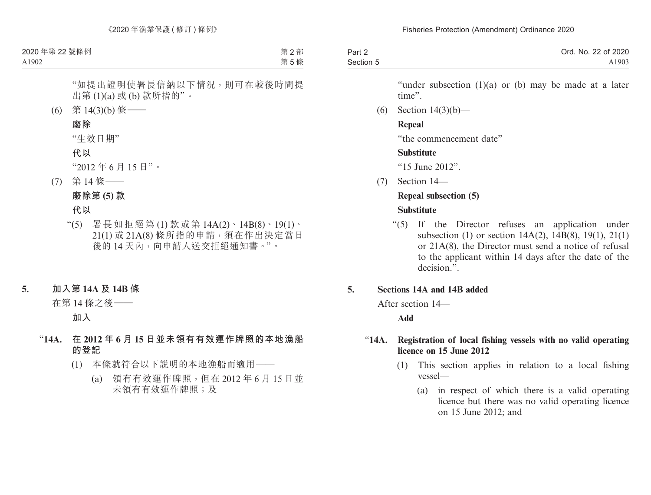| Part 2    | Ord. No. 22 of 2020 |
|-----------|---------------------|
| Section 5 | A1903               |

"under subsection  $(1)(a)$  or  $(b)$  may be made at a later time".

(6) Section 14(3)(b)—

### **Repeal**

"the commencement date"

## **Substitute**

"15 June 2012".

 $(7)$  Section  $14$ —

## **Repeal subsection (5)**

## **Substitute**

"(5) If the Director refuses an application under subsection (1) or section 14A(2), 14B(8), 19(1), 21(1) or 21A(8), the Director must send a notice of refusal to the applicant within 14 days after the date of the decision.".

## **5. Sections 14A and 14B added**

After section 14—

## **Add**

## "**14A. Registration of local fishing vessels with no valid operating licence on 15 June 2012**

- (1) This section applies in relation to a local fishing vessel—
	- (a) in respect of which there is a valid operating licence but there was no valid operating licence on 15 June 2012; and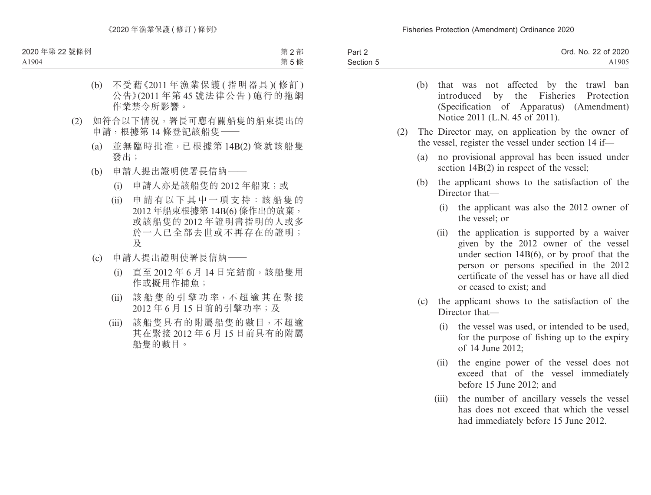| Part 2    | Ord. No. 22 of 2020 |
|-----------|---------------------|
| Section 5 | A1905               |

- (b) that was not affected by the trawl ban introduced by the Fisheries Protection (Specification of Apparatus) (Amendment) Notice 2011 (L.N. 45 of 2011).
- (2) The Director may, on application by the owner of the vessel, register the vessel under section 14 if—
	- (a) no provisional approval has been issued under section  $14B(2)$  in respect of the vessel;
	- (b) the applicant shows to the satisfaction of the Director that—
		- (i) the applicant was also the 2012 owner of the vessel; or
		- (ii) the application is supported by a waiver given by the 2012 owner of the vessel under section 14B(6), or by proof that the person or persons specified in the 2012 certificate of the vessel has or have all died or ceased to exist; and
	- (c) the applicant shows to the satisfaction of the Director that—
		- (i) the vessel was used, or intended to be used, for the purpose of fishing up to the expiry of 14 June 2012;
		- (ii) the engine power of the vessel does not exceed that of the vessel immediately before 15 June 2012; and
		- (iii) the number of ancillary vessels the vessel has does not exceed that which the vessel had immediately before 15 June 2012.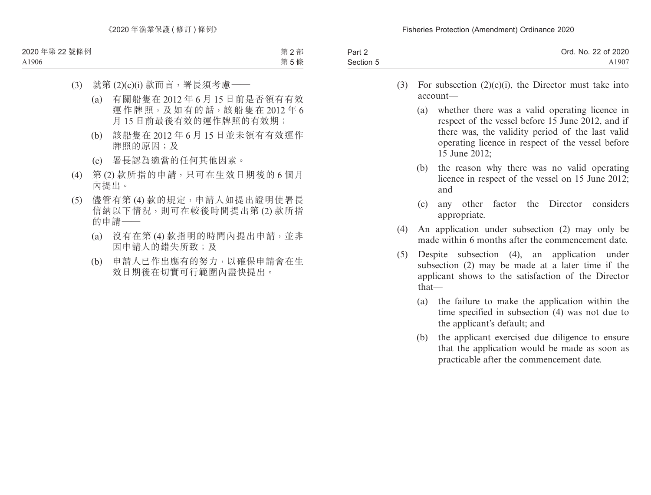| Part 2    | Ord. No. 22 of 2020 |
|-----------|---------------------|
| Section 5 | A1907               |

- (3) For subsection  $(2)(c)(i)$ , the Director must take into account—
	- (a) whether there was a valid operating licence in respect of the vessel before 15 June 2012, and if there was, the validity period of the last valid operating licence in respect of the vessel before 15 June 2012;
	- (b) the reason why there was no valid operating licence in respect of the vessel on 15 June 2012; and
	- (c) any other factor the Director considers appropriate.
- (4) An application under subsection (2) may only be made within 6 months after the commencement date.
- (5) Despite subsection (4), an application under subsection (2) may be made at a later time if the applicant shows to the satisfaction of the Director that—
	- (a) the failure to make the application within the time specified in subsection (4) was not due to the applicant's default; and
	- (b) the applicant exercised due diligence to ensure that the application would be made as soon as practicable after the commencement date.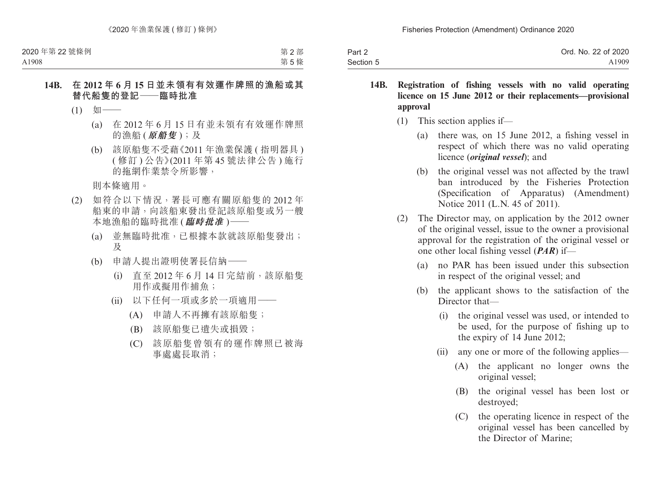| Part 2    | Ord. No. 22 of 2020 |
|-----------|---------------------|
| Section 5 | A1909               |

- **14B. Registration of fishing vessels with no valid operating licence on 15 June 2012 or their replacements—provisional approval**
	- (1) This section applies if—
		- (a) there was, on 15 June 2012, a fishing vessel in respect of which there was no valid operating licence (*original vessel*); and
		- (b) the original vessel was not affected by the trawl ban introduced by the Fisheries Protection (Specification of Apparatus) (Amendment) Notice 2011 (L.N. 45 of 2011).
	- (2) The Director may, on application by the 2012 owner of the original vessel, issue to the owner a provisional approval for the registration of the original vessel or one other local fishing vessel (*PAR*) if—
		- (a) no PAR has been issued under this subsection in respect of the original vessel; and
		- (b) the applicant shows to the satisfaction of the Director that—
			- (i) the original vessel was used, or intended to be used, for the purpose of fishing up to the expiry of 14 June 2012;
			- (ii) any one or more of the following applies—
				- (A) the applicant no longer owns the original vessel;
				- (B) the original vessel has been lost or destroyed;
				- (C) the operating licence in respect of the original vessel has been cancelled by the Director of Marine;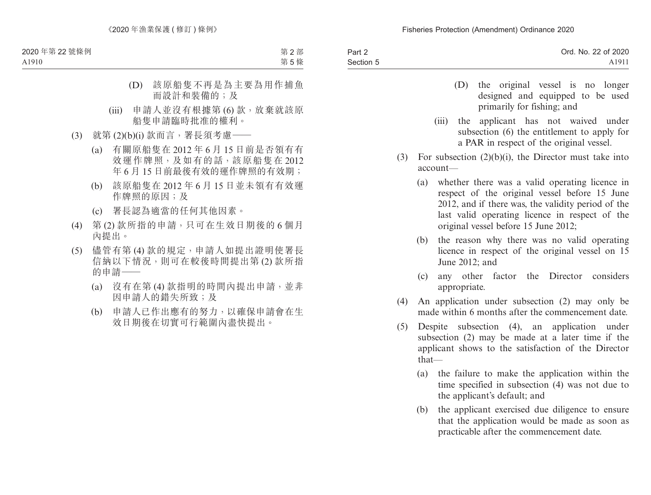| Part 2    | Ord. No. 22 of 2020 |
|-----------|---------------------|
| Section 5 | A1911               |

- (D) the original vessel is no longer designed and equipped to be used primarily for fishing; and
- (iii) the applicant has not waived under subsection (6) the entitlement to apply for a PAR in respect of the original vessel.
- (3) For subsection  $(2)(b)(i)$ , the Director must take into account—
	- (a) whether there was a valid operating licence in respect of the original vessel before 15 June 2012, and if there was, the validity period of the last valid operating licence in respect of the original vessel before 15 June 2012;
	- (b) the reason why there was no valid operating licence in respect of the original vessel on 15 June 2012; and
	- (c) any other factor the Director considers appropriate.
- (4) An application under subsection (2) may only be made within 6 months after the commencement date.
- (5) Despite subsection (4), an application under subsection (2) may be made at a later time if the applicant shows to the satisfaction of the Director that—
	- (a) the failure to make the application within the time specified in subsection (4) was not due to the applicant's default; and
	- (b) the applicant exercised due diligence to ensure that the application would be made as soon as practicable after the commencement date.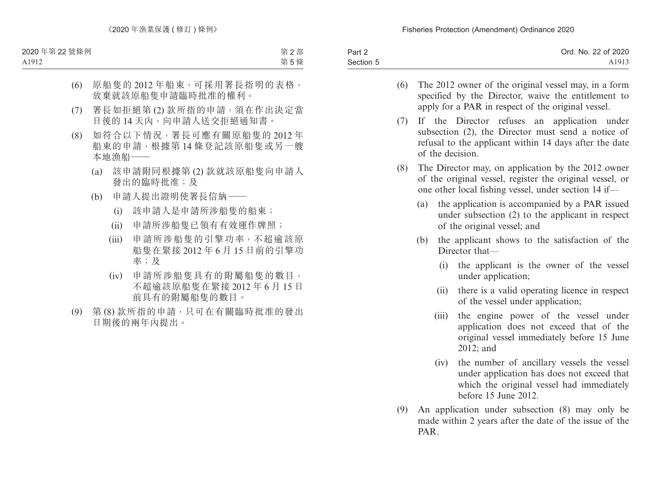| Part 2    | Ord. No. 22 of 2020 |
|-----------|---------------------|
| Section 5 | A1913               |

- (6) The 2012 owner of the original vessel may, in a form specified by the Director, waive the entitlement to apply for a PAR in respect of the original vessel.
- (7) If the Director refuses an application under subsection (2), the Director must send a notice of refusal to the applicant within 14 days after the date of the decision.
- (8) The Director may, on application by the 2012 owner of the original vessel, register the original vessel, or one other local fishing vessel, under section 14 if—
	- (a) the application is accompanied by a PAR issued under subsection (2) to the applicant in respect of the original vessel; and
	- (b) the applicant shows to the satisfaction of the Director that—
		- (i) the applicant is the owner of the vessel under application;
		- (ii) there is a valid operating licence in respect of the vessel under application;
		- (iii) the engine power of the vessel under application does not exceed that of the original vessel immediately before 15 June 2012; and
		- (iv) the number of ancillary vessels the vessel under application has does not exceed that which the original vessel had immediately before 15 June 2012.
- (9) An application under subsection (8) may only be made within 2 years after the date of the issue of the PAR.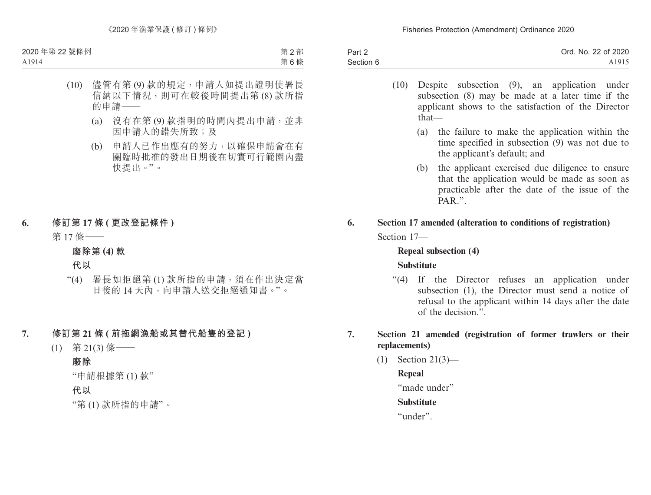| Part 2    | Ord. No. 22 of 2020 |
|-----------|---------------------|
| Section 6 | A <sub>1915</sub>   |

- (10) Despite subsection (9), an application under subsection (8) may be made at a later time if the applicant shows to the satisfaction of the Director that—
	- (a) the failure to make the application within the time specified in subsection (9) was not due to the applicant's default; and
	- (b) the applicant exercised due diligence to ensure that the application would be made as soon as practicable after the date of the issue of the PAR"
- **6. Section 17 amended (alteration to conditions of registration)** Section 17—

## **Repeal subsection (4) Substitute**

"(4) If the Director refuses an application under subsection (1), the Director must send a notice of refusal to the applicant within 14 days after the date of the decision.".

## **7. Section 21 amended (registration of former trawlers or their replacements)**

(1) Section 21(3)—

## **Repeal**

"made under"

## **Substitute**

"under".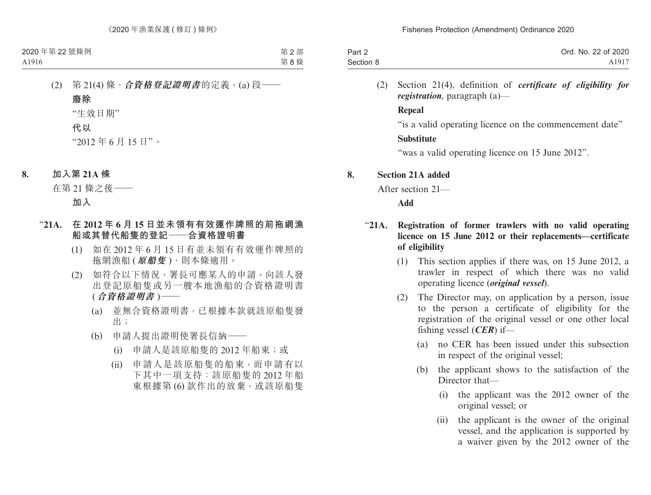| Part 2    | Ord. No. 22 of 2020 |
|-----------|---------------------|
| Section 8 | A1917               |

(2) Section 21(4), definition of *certificate of eligibility for registration*, paragraph (a)—

#### **Repeal**

"is a valid operating licence on the commencement date"

## **Substitute**

"was a valid operating licence on 15 June 2012".

## **8. Section 21A added**

After section 21—

**Add**

## "**21A. Registration of former trawlers with no valid operating licence on 15 June 2012 or their replacements—certificate of eligibility**

- (1) This section applies if there was, on 15 June 2012, a trawler in respect of which there was no valid operating licence (*original vessel*).
- (2) The Director may, on application by a person, issue to the person a certificate of eligibility for the registration of the original vessel or one other local fishing vessel (*CER*) if—
	- (a) no CER has been issued under this subsection in respect of the original vessel;
	- (b) the applicant shows to the satisfaction of the Director that—
		- (i) the applicant was the 2012 owner of the original vessel; or
		- (ii) the applicant is the owner of the original vessel, and the application is supported by a waiver given by the 2012 owner of the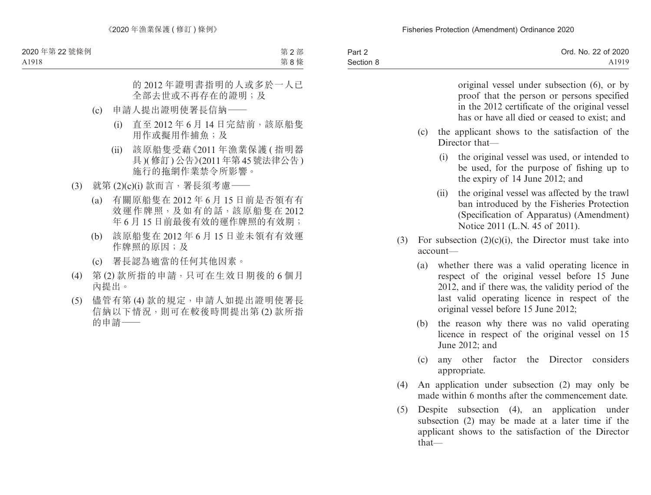| Part 2    | Ord. No. 22 of 2020 |
|-----------|---------------------|
| Section 8 | A1919               |

original vessel under subsection (6), or by proof that the person or persons specified in the 2012 certificate of the original vessel has or have all died or ceased to exist; and

- (c) the applicant shows to the satisfaction of the Director that—
	- (i) the original vessel was used, or intended to be used, for the purpose of fishing up to the expiry of 14 June 2012; and
	- (ii) the original vessel was affected by the trawl ban introduced by the Fisheries Protection (Specification of Apparatus) (Amendment) Notice 2011 (L.N. 45 of 2011).
- (3) For subsection  $(2)(c)(i)$ , the Director must take into account—
	- (a) whether there was a valid operating licence in respect of the original vessel before 15 June 2012, and if there was, the validity period of the last valid operating licence in respect of the original vessel before 15 June 2012;
	- (b) the reason why there was no valid operating licence in respect of the original vessel on 15 June 2012; and
	- (c) any other factor the Director considers appropriate.
- (4) An application under subsection (2) may only be made within 6 months after the commencement date.
- (5) Despite subsection (4), an application under subsection (2) may be made at a later time if the applicant shows to the satisfaction of the Director that—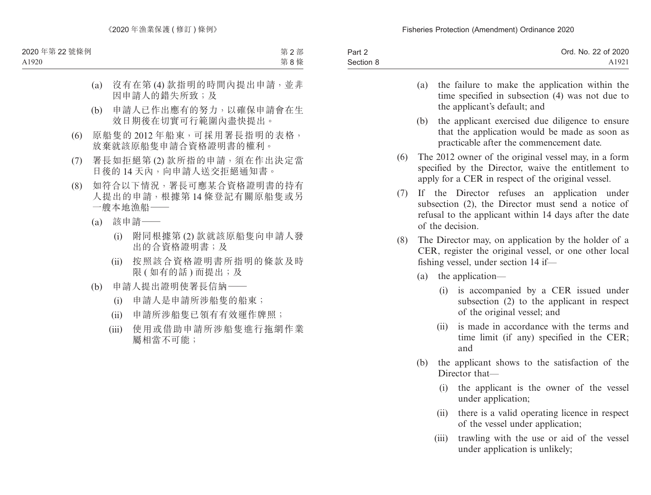| Part 2    | Ord. No. 22 of 2020 |
|-----------|---------------------|
| Section 8 | A1921               |

- (a) the failure to make the application within the time specified in subsection (4) was not due to the applicant's default; and
- (b) the applicant exercised due diligence to ensure that the application would be made as soon as practicable after the commencement date.
- (6) The 2012 owner of the original vessel may, in a form specified by the Director, waive the entitlement to apply for a CER in respect of the original vessel.
- (7) If the Director refuses an application under subsection (2), the Director must send a notice of refusal to the applicant within 14 days after the date of the decision.
- (8) The Director may, on application by the holder of a CER, register the original vessel, or one other local fishing vessel, under section 14 if—
	- (a) the application—
		- (i) is accompanied by a CER issued under subsection (2) to the applicant in respect of the original vessel; and
		- (ii) is made in accordance with the terms and time limit (if any) specified in the CER; and
	- (b) the applicant shows to the satisfaction of the Director that—
		- (i) the applicant is the owner of the vessel under application;
		- (ii) there is a valid operating licence in respect of the vessel under application;
		- (iii) trawling with the use or aid of the vessel under application is unlikely;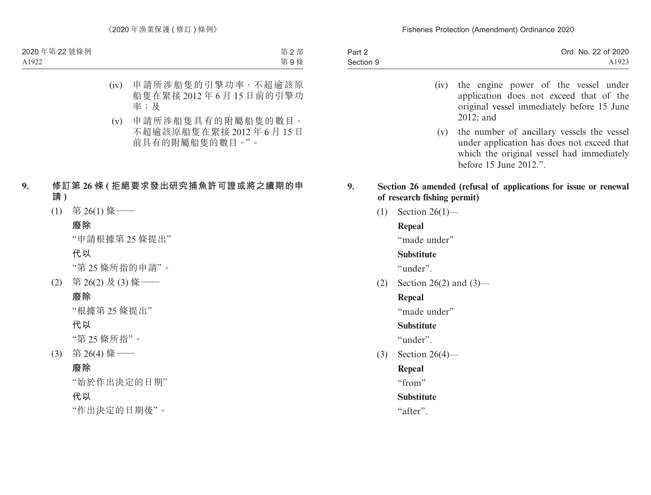| Part 2    | Ord. No. 22 of 2020 |
|-----------|---------------------|
| Section 9 | A1923               |

- (iv) the engine power of the vessel under application does not exceed that of the original vessel immediately before 15 June 2012; and
- (v) the number of ancillary vessels the vessel under application has does not exceed that which the original vessel had immediately before 15 June 2012.".

## **9. Section 26 amended (refusal of applications for issue or renewal of research fishing permit)**

(1) Section 26(1)—

## **Repeal**

"made under"

## **Substitute**

"under".

(2) Section 26(2) and  $(3)$ —

## **Repeal**

"made under"

## **Substitute**

"under".

(3) Section 26(4)—

## **Repeal**

"from"

## **Substitute**

"after".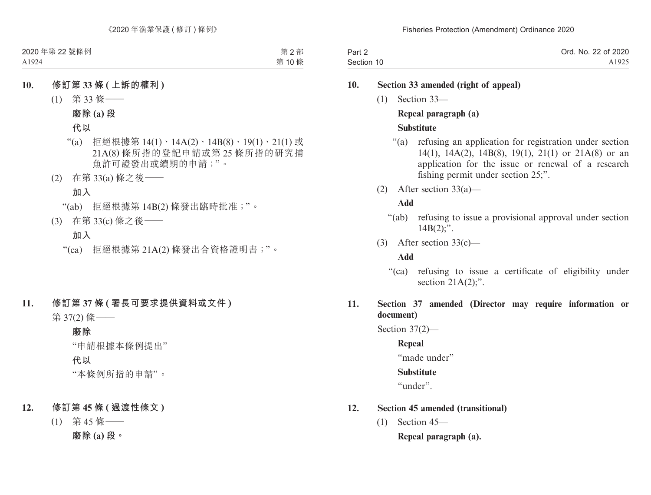| Part 2     | Ord. No. 22 of 2020 |
|------------|---------------------|
| Section 10 | A1925               |

## **10. Section 33 amended (right of appeal)**

(1) Section 33—

## **Repeal paragraph (a)**

## **Substitute**

- "(a) refusing an application for registration under section 14(1), 14A(2), 14B(8), 19(1), 21(1) or 21A(8) or an application for the issue or renewal of a research fishing permit under section 25;".
- (2) After section 33(a)—

## **Add**

- "(ab) refusing to issue a provisional approval under section  $14B(2)$ ;".
- (3) After section 33(c)—

## **Add**

"(ca) refusing to issue a certificate of eligibility under section  $21A(2)$ ;".

## **11. Section 37 amended (Director may require information or document)**

Section 37(2)—

**Repeal**

"made under"

## **Substitute**

"under".

## **12. Section 45 amended (transitional)**

(1) Section 45—

**Repeal paragraph (a).**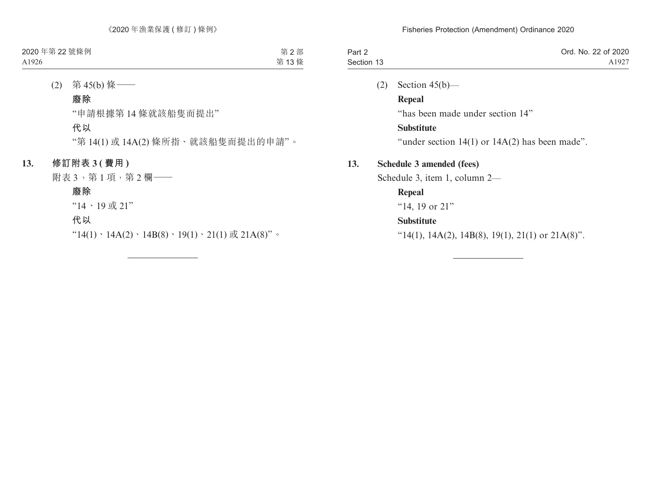| Part 2     | Ord. No. 22 of 2020 |
|------------|---------------------|
| Section 13 | A1927               |

(2) Section  $45(b)$ —

**Repeal**

"has been made under section 14"

### **Substitute**

"under section  $14(1)$  or  $14A(2)$  has been made".

## **13. Schedule 3 amended (fees)**

Schedule 3, item 1, column 2—

## **Repeal**

"14, 19 or 21"

## **Substitute**

" $14(1)$ ,  $14A(2)$ ,  $14B(8)$ ,  $19(1)$ ,  $21(1)$  or  $21A(8)$ ".